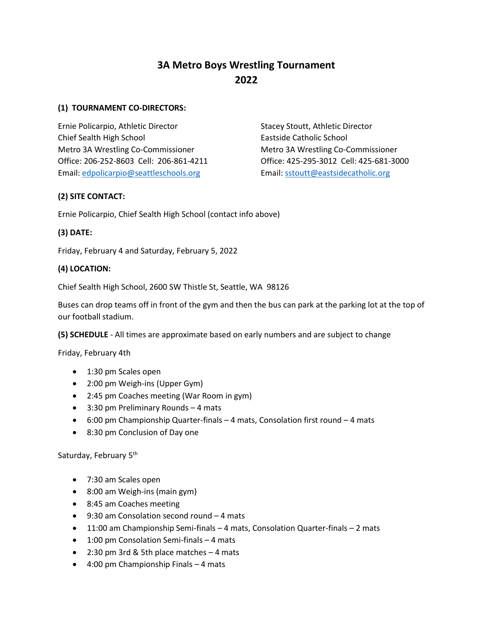# **3A Metro Boys Wrestling Tournament 2022**

#### **(1) TOURNAMENT CO-DIRECTORS:**

Ernie Policarpio, Athletic Director Stacey Stoutt, Athletic Director Chief Sealth High School Eastside Catholic School Metro 3A Wrestling Co-Commissioner Metro 3A Wrestling Co-Commissioner Office: 206-252-8603 Cell: 206-861-4211 Office: 425-295-3012 Cell: 425-681-3000 Email: [edpolicarpio@seattleschools.org](mailto:edpolicarpio@seattleschools.org) Email: [sstoutt@eastsidecatholic.org](mailto:sstoutt@eastsidecatholic.org)

# **(2) SITE CONTACT:**

Ernie Policarpio, Chief Sealth High School (contact info above)

# **(3) DATE:**

Friday, February 4 and Saturday, February 5, 2022

# **(4) LOCATION:**

Chief Sealth High School, 2600 SW Thistle St, Seattle, WA 98126

Buses can drop teams off in front of the gym and then the bus can park at the parking lot at the top of our football stadium.

**(5) SCHEDULE** - All times are approximate based on early numbers and are subject to change

Friday, February 4th

- 1:30 pm Scales open
- 2:00 pm Weigh-ins (Upper Gym)
- 2:45 pm Coaches meeting (War Room in gym)
- 3:30 pm Preliminary Rounds 4 mats
- 6:00 pm Championship Quarter-finals 4 mats, Consolation first round 4 mats
- 8:30 pm Conclusion of Day one

# Saturday, February 5<sup>th</sup>

- 7:30 am Scales open
- 8:00 am Weigh-ins (main gym)
- 8:45 am Coaches meeting
- 9:30 am Consolation second round 4 mats
- 11:00 am Championship Semi-finals 4 mats, Consolation Quarter-finals 2 mats
- 1:00 pm Consolation Semi-finals 4 mats
- 2:30 pm 3rd & 5th place matches 4 mats
- 4:00 pm Championship Finals 4 mats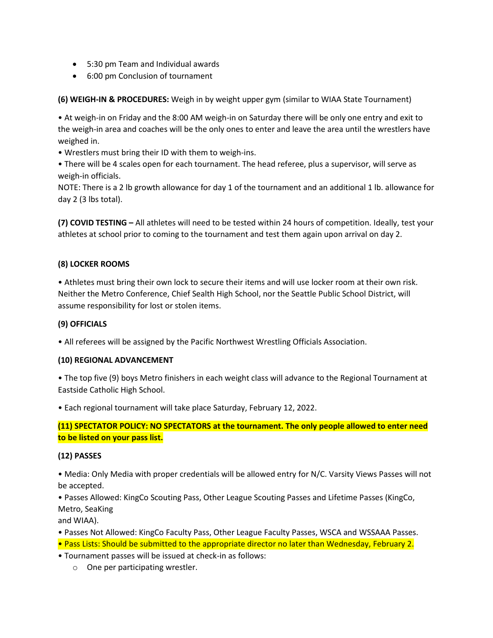- 5:30 pm Team and Individual awards
- 6:00 pm Conclusion of tournament

**(6) WEIGH-IN & PROCEDURES:** Weigh in by weight upper gym (similar to WIAA State Tournament)

• At weigh-in on Friday and the 8:00 AM weigh-in on Saturday there will be only one entry and exit to the weigh-in area and coaches will be the only ones to enter and leave the area until the wrestlers have weighed in.

• Wrestlers must bring their ID with them to weigh-ins.

• There will be 4 scales open for each tournament. The head referee, plus a supervisor, will serve as weigh-in officials.

NOTE: There is a 2 lb growth allowance for day 1 of the tournament and an additional 1 lb. allowance for day 2 (3 lbs total).

**(7) COVID TESTING –** All athletes will need to be tested within 24 hours of competition. Ideally, test your athletes at school prior to coming to the tournament and test them again upon arrival on day 2.

#### **(8) LOCKER ROOMS**

• Athletes must bring their own lock to secure their items and will use locker room at their own risk. Neither the Metro Conference, Chief Sealth High School, nor the Seattle Public School District, will assume responsibility for lost or stolen items.

#### **(9) OFFICIALS**

• All referees will be assigned by the Pacific Northwest Wrestling Officials Association.

#### **(10) REGIONAL ADVANCEMENT**

• The top five (9) boys Metro finishers in each weight class will advance to the Regional Tournament at Eastside Catholic High School.

• Each regional tournament will take place Saturday, February 12, 2022.

# **(11) SPECTATOR POLICY: NO SPECTATORS at the tournament. The only people allowed to enter need to be listed on your pass list.**

#### **(12) PASSES**

• Media: Only Media with proper credentials will be allowed entry for N/C. Varsity Views Passes will not be accepted.

• Passes Allowed: KingCo Scouting Pass, Other League Scouting Passes and Lifetime Passes (KingCo, Metro, SeaKing

and WIAA).

• Passes Not Allowed: KingCo Faculty Pass, Other League Faculty Passes, WSCA and WSSAAA Passes.

- Pass Lists: Should be submitted to the appropriate director no later than Wednesday, February 2.
- Tournament passes will be issued at check-in as follows:
	- o One per participating wrestler.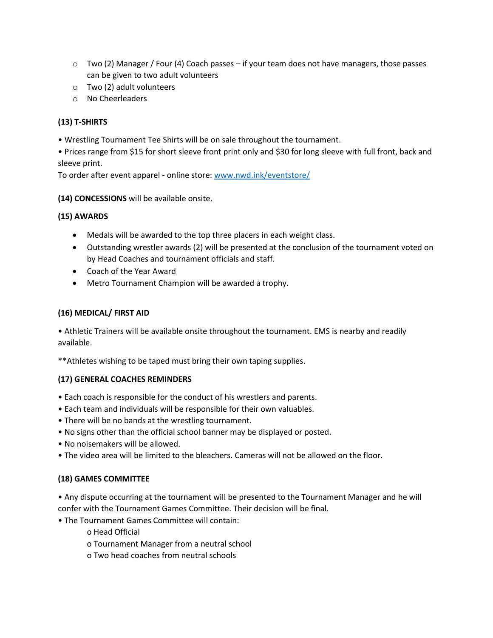- $\circ$  Two (2) Manager / Four (4) Coach passes if your team does not have managers, those passes can be given to two adult volunteers
- o Two (2) adult volunteers
- o No Cheerleaders

# **(13) T-SHIRTS**

• Wrestling Tournament Tee Shirts will be on sale throughout the tournament.

• Prices range from \$15 for short sleeve front print only and \$30 for long sleeve with full front, back and sleeve print.

To order after event apparel - online store: [www.nwd.ink/eventstore/](http://www.nwd.ink/eventstore/)

#### **(14) CONCESSIONS** will be available onsite.

#### **(15) AWARDS**

- Medals will be awarded to the top three placers in each weight class.
- Outstanding wrestler awards (2) will be presented at the conclusion of the tournament voted on by Head Coaches and tournament officials and staff.
- Coach of the Year Award
- Metro Tournament Champion will be awarded a trophy.

#### **(16) MEDICAL/ FIRST AID**

• Athletic Trainers will be available onsite throughout the tournament. EMS is nearby and readily available.

\*\*Athletes wishing to be taped must bring their own taping supplies.

#### **(17) GENERAL COACHES REMINDERS**

- Each coach is responsible for the conduct of his wrestlers and parents.
- Each team and individuals will be responsible for their own valuables.
- There will be no bands at the wrestling tournament.
- No signs other than the official school banner may be displayed or posted.
- No noisemakers will be allowed.
- The video area will be limited to the bleachers. Cameras will not be allowed on the floor.

# **(18) GAMES COMMITTEE**

• Any dispute occurring at the tournament will be presented to the Tournament Manager and he will confer with the Tournament Games Committee. Their decision will be final.

• The Tournament Games Committee will contain:

o Head Official

- o Tournament Manager from a neutral school
- o Two head coaches from neutral schools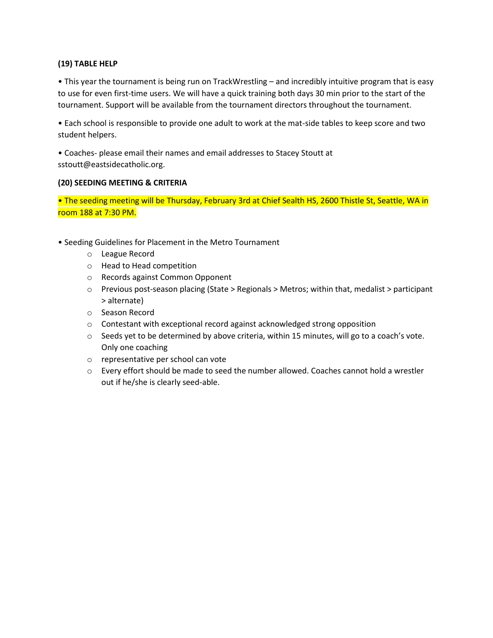#### **(19) TABLE HELP**

• This year the tournament is being run on TrackWrestling – and incredibly intuitive program that is easy to use for even first-time users. We will have a quick training both days 30 min prior to the start of the tournament. Support will be available from the tournament directors throughout the tournament.

• Each school is responsible to provide one adult to work at the mat-side tables to keep score and two student helpers.

• Coaches- please email their names and email addresses to Stacey Stoutt at sstoutt@eastsidecatholic.org.

#### **(20) SEEDING MEETING & CRITERIA**

• The seeding meeting will be Thursday, February 3rd at Chief Sealth HS, 2600 Thistle St, Seattle, WA in room 188 at 7:30 PM.

- Seeding Guidelines for Placement in the Metro Tournament
	- o League Record
	- o Head to Head competition
	- o Records against Common Opponent
	- o Previous post-season placing (State > Regionals > Metros; within that, medalist > participant > alternate)
	- o Season Record
	- o Contestant with exceptional record against acknowledged strong opposition
	- $\circ$  Seeds yet to be determined by above criteria, within 15 minutes, will go to a coach's vote. Only one coaching
	- o representative per school can vote
	- $\circ$  Every effort should be made to seed the number allowed. Coaches cannot hold a wrestler out if he/she is clearly seed-able.